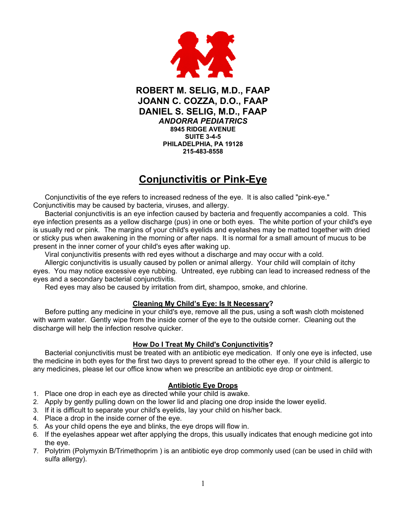

**ROBERT M. SELIG, M.D., FAAP JOANN C. COZZA, D.O., FAAP DANIEL S. SELIG, M.D., FAAP**  *ANDORRA PEDIATRICS*  **8945 RIDGE AVENUE SUITE 3-4-5 PHILADELPHIA, PA 19128 215-483-8558** 

## **Conjunctivitis or Pink-Eye**

Conjunctivitis of the eye refers to increased redness of the eye. It is also called "pink-eye." Conjunctivitis may be caused by bacteria, viruses, and allergy.

Bacterial conjunctivitis is an eye infection caused by bacteria and frequently accompanies a cold. This eye infection presents as a yellow discharge (pus) in one or both eyes. The white portion of your child's eye is usually red or pink. The margins of your child's eyelids and eyelashes may be matted together with dried or sticky pus when awakening in the morning or after naps. It is normal for a small amount of mucus to be present in the inner corner of your child's eyes after waking up.

Viral conjunctivitis presents with red eyes without a discharge and may occur with a cold.

Allergic conjunctivitis is usually caused by pollen or animal allergy. Your child will complain of itchy eyes. You may notice excessive eye rubbing. Untreated, eye rubbing can lead to increased redness of the eyes and a secondary bacterial conjunctivitis.

Red eyes may also be caused by irritation from dirt, shampoo, smoke, and chlorine.

#### **Cleaning My Child's Eye: Is It Necessary?**

Before putting any medicine in your child's eye, remove all the pus, using a soft wash cloth moistened with warm water. Gently wipe from the inside corner of the eye to the outside corner. Cleaning out the discharge will help the infection resolve quicker.

#### **How Do I Treat My Child's Conjunctivitis?**

Bacterial conjunctivitis must be treated with an antibiotic eve medication. If only one eve is infected, use the medicine in both eyes for the first two days to prevent spread to the other eye. If your child is allergic to any medicines, please let our office know when we prescribe an antibiotic eye drop or ointment.

#### **Antibiotic Eye Drops**

- 1. Place one drop in each eye as directed while your child is awake.
- 2. Apply by gently pulling down on the lower lid and placing one drop inside the lower eyelid.
- 3. If it is difficult to separate your child's eyelids, lay your child on his/her back.
- 4. Place a drop in the inside corner of the eye.
- 5. As your child opens the eye and blinks, the eye drops will flow in.
- 6. If the eyelashes appear wet after applying the drops, this usually indicates that enough medicine got into the eye.
- 7. Polytrim (Polymyxin B/Trimethoprim ) is an antibiotic eye drop commonly used (can be used in child with sulfa allergy).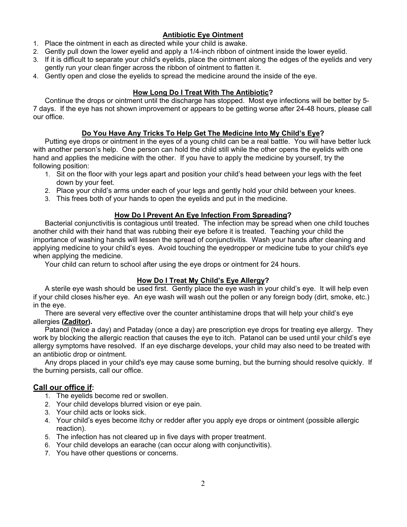## **Antibiotic Eye Ointment**

- 1. Place the ointment in each as directed while your child is awake.
- 2. Gently pull down the lower eyelid and apply a 1/4-inch ribbon of ointment inside the lower eyelid.
- 3. If it is difficult to separate your child's eyelids, place the ointment along the edges of the eyelids and very gently run your clean finger across the ribbon of ointment to flatten it.
- 4. Gently open and close the eyelids to spread the medicine around the inside of the eye.

#### **How Long Do I Treat With The Antibiotic?**

Continue the drops or ointment until the discharge has stopped. Most eye infections will be better by 5- 7 days. If the eye has not shown improvement or appears to be getting worse after 24-48 hours, please call our office.

#### **Do You Have Any Tricks To Help Get The Medicine Into My Child's Eye?**

Putting eye drops or ointment in the eyes of a young child can be a real battle. You will have better luck with another person's help. One person can hold the child still while the other opens the eyelids with one hand and applies the medicine with the other. If you have to apply the medicine by yourself, try the following position:

- 1. Sit on the floor with your legs apart and position your child's head between your legs with the feet down by your feet.
- 2. Place your child's arms under each of your legs and gently hold your child between your knees.
- 3. This frees both of your hands to open the eyelids and put in the medicine.

#### **How Do I Prevent An Eye Infection From Spreading?**

Bacterial conjunctivitis is contagious until treated. The infection may be spread when one child touches another child with their hand that was rubbing their eye before it is treated. Teaching your child the importance of washing hands will lessen the spread of conjunctivitis. Wash your hands after cleaning and applying medicine to your child's eyes. Avoid touching the eyedropper or medicine tube to your child's eye when applying the medicine.

Your child can return to school after using the eye drops or ointment for 24 hours.

#### **How Do I Treat My Child's Eye Allergy?**

A sterile eye wash should be used first. Gently place the eye wash in your child's eye. It will help even if your child closes his/her eye. An eye wash will wash out the pollen or any foreign body (dirt, smoke, etc.) in the eye.

There are several very effective over the counter antihistamine drops that will help your child's eye allergies **(Zaditor).**

Patanol (twice a day) and Pataday (once a day) are prescription eye drops for treating eye allergy. They work by blocking the allergic reaction that causes the eye to itch. Patanol can be used until your child's eye allergy symptoms have resolved. If an eye discharge develops, your child may also need to be treated with an antibiotic drop or ointment.

Any drops placed in your child's eye may cause some burning, but the burning should resolve quickly. If the burning persists, call our office.

### **Call our office if:**

- 1. The eyelids become red or swollen.
- 2. Your child develops blurred vision or eye pain.
- 3. Your child acts or looks sick.
- 4. Your child's eyes become itchy or redder after you apply eye drops or ointment (possible allergic reaction).
- 5. The infection has not cleared up in five days with proper treatment.
- 6. Your child develops an earache (can occur along with conjunctivitis).
- 7. You have other questions or concerns.